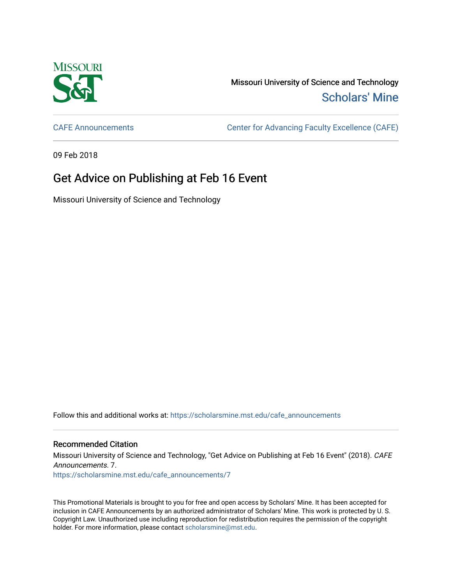

Missouri University of Science and Technology [Scholars' Mine](https://scholarsmine.mst.edu/) 

[CAFE Announcements](https://scholarsmine.mst.edu/cafe_announcements) [Center for Advancing Faculty Excellence \(CAFE\)](https://scholarsmine.mst.edu/cafe) 

09 Feb 2018

## Get Advice on Publishing at Feb 16 Event

Missouri University of Science and Technology

Follow this and additional works at: [https://scholarsmine.mst.edu/cafe\\_announcements](https://scholarsmine.mst.edu/cafe_announcements?utm_source=scholarsmine.mst.edu%2Fcafe_announcements%2F7&utm_medium=PDF&utm_campaign=PDFCoverPages) 

## Recommended Citation

Missouri University of Science and Technology, "Get Advice on Publishing at Feb 16 Event" (2018). CAFE Announcements. 7. [https://scholarsmine.mst.edu/cafe\\_announcements/7](https://scholarsmine.mst.edu/cafe_announcements/7?utm_source=scholarsmine.mst.edu%2Fcafe_announcements%2F7&utm_medium=PDF&utm_campaign=PDFCoverPages) 

This Promotional Materials is brought to you for free and open access by Scholars' Mine. It has been accepted for inclusion in CAFE Announcements by an authorized administrator of Scholars' Mine. This work is protected by U. S. Copyright Law. Unauthorized use including reproduction for redistribution requires the permission of the copyright holder. For more information, please contact [scholarsmine@mst.edu.](mailto:scholarsmine@mst.edu)